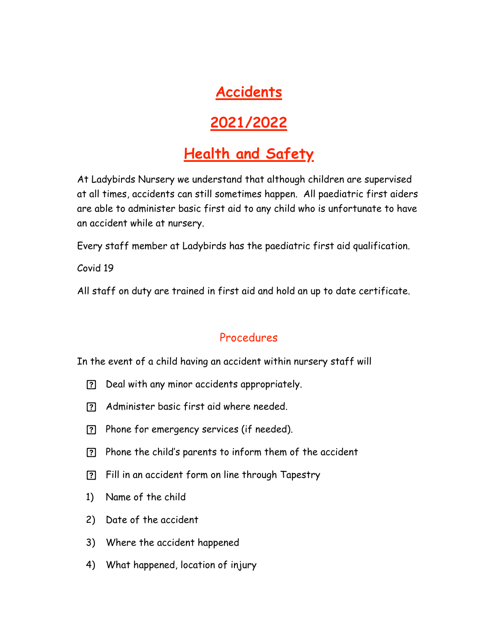# **Accidents**

## **2021/2022**

## **Health and Safety**

At Ladybirds Nursery we understand that although children are supervised at all times, accidents can still sometimes happen. All paediatric first aiders are able to administer basic first aid to any child who is unfortunate to have an accident while at nursery.

Every staff member at Ladybirds has the paediatric first aid qualification.

Covid 19

All staff on duty are trained in first aid and hold an up to date certificate.

### Procedures

In the event of a child having an accident within nursery staff will

- Deal with any minor accidents appropriately.
- Administer basic first aid where needed.
- Phone for emergency services (if needed).
- Phone the child's parents to inform them of the accident
- Fill in an accident form on line through Tapestry
- 1) Name of the child
- 2) Date of the accident
- 3) Where the accident happened
- 4) What happened, location of injury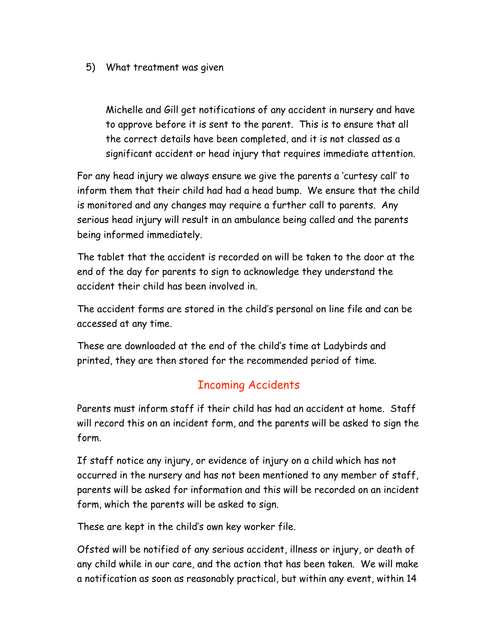#### 5) What treatment was given

Michelle and Gill get notifications of any accident in nursery and have to approve before it is sent to the parent. This is to ensure that all the correct details have been completed, and it is not classed as a significant accident or head injury that requires immediate attention.

For any head injury we always ensure we give the parents a 'curtesy call' to inform them that their child had had a head bump. We ensure that the child is monitored and any changes may require a further call to parents. Any serious head injury will result in an ambulance being called and the parents being informed immediately.

The tablet that the accident is recorded on will be taken to the door at the end of the day for parents to sign to acknowledge they understand the accident their child has been involved in.

The accident forms are stored in the child's personal on line file and can be accessed at any time.

These are downloaded at the end of the child's time at Ladybirds and printed, they are then stored for the recommended period of time.

### Incoming Accidents

Parents must inform staff if their child has had an accident at home. Staff will record this on an incident form, and the parents will be asked to sign the form.

If staff notice any injury, or evidence of injury on a child which has not occurred in the nursery and has not been mentioned to any member of staff, parents will be asked for information and this will be recorded on an incident form, which the parents will be asked to sign.

These are kept in the child's own key worker file.

Ofsted will be notified of any serious accident, illness or injury, or death of any child while in our care, and the action that has been taken. We will make a notification as soon as reasonably practical, but within any event, within 14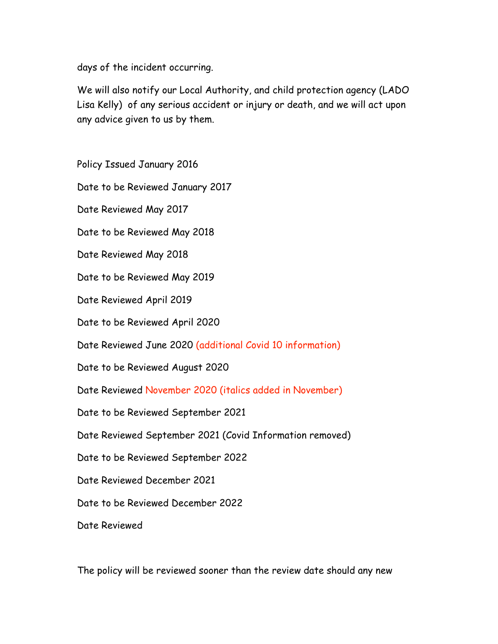days of the incident occurring.

We will also notify our Local Authority, and child protection agency (LADO Lisa Kelly) of any serious accident or injury or death, and we will act upon any advice given to us by them.

Policy Issued January 2016 Date to be Reviewed January 2017 Date Reviewed May 2017 Date to be Reviewed May 2018 Date Reviewed May 2018 Date to be Reviewed May 2019 Date Reviewed April 2019 Date to be Reviewed April 2020 Date Reviewed June 2020 (additional Covid 10 information) Date to be Reviewed August 2020 Date Reviewed November 2020 (italics added in November) Date to be Reviewed September 2021 Date Reviewed September 2021 (Covid Information removed) Date to be Reviewed September 2022 Date Reviewed December 2021 Date to be Reviewed December 2022 Date Reviewed

The policy will be reviewed sooner than the review date should any new